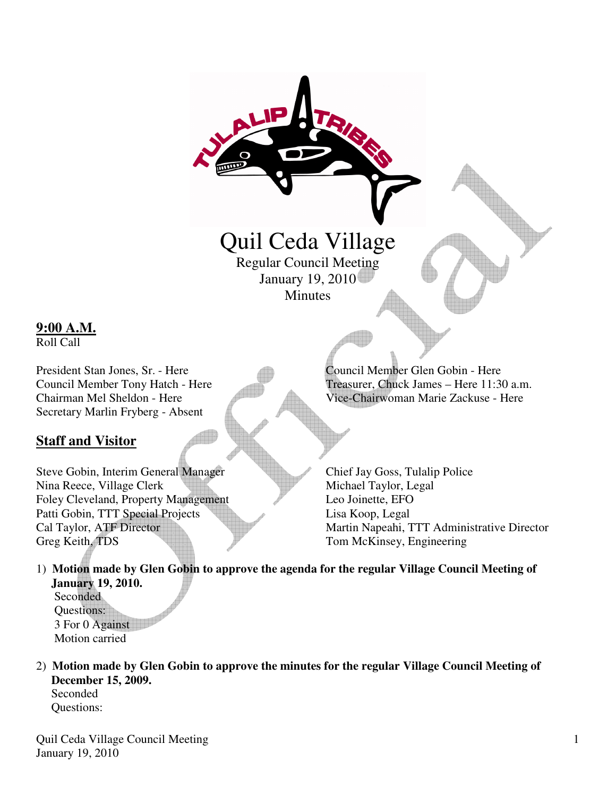

Steve Gobin, Interim General Manager Chief Jay Goss, Tulalip Police Nina Reece, Village Clerk Michael Taylor, Legal Foley Cleveland, Property Management Leo Joinette, EFO Patti Gobin, TTT Special Projects Lisa Koop, Legal

Cal Taylor, ATF Director Martin Napeahi, TTT Administrative Director Greg Keith, TDS Tom McKinsey, Engineering

- 1) **Motion made by Glen Gobin to approve the agenda for the regular Village Council Meeting of January 19, 2010. Seconded** Questions: 3 For 0 Against Motion carried
- 2) **Motion made by Glen Gobin to approve the minutes for the regular Village Council Meeting of December 15, 2009.** Seconded

Questions:

**9:00 A.M.** Roll Call

**Staff and Visitor**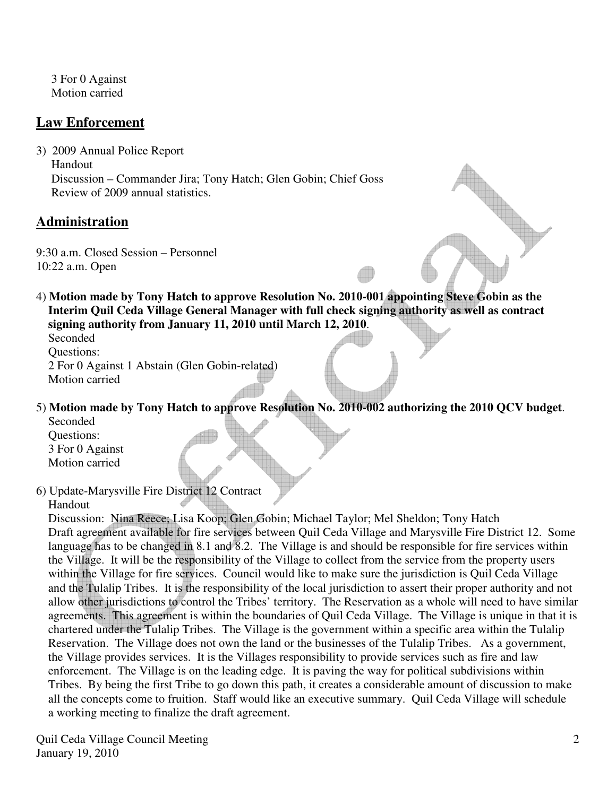3 For 0 Against Motion carried

## **Law Enforcement**

3) 2009 Annual Police Report Handout Discussion – Commander Jira; Tony Hatch; Glen Gobin; Chief Goss Review of 2009 annual statistics.

## **Administration**

9:30 a.m. Closed Session – Personnel 10:22 a.m. Open

4) **Motion made by Tony Hatch to approve Resolution No. 2010-001 appointing Steve Gobin as the Interim Quil Ceda Village General Manager with full check signing authority as well as contract signing authority from January 11, 2010 until March 12, 2010**.

 Seconded Questions: 2 For 0 Against 1 Abstain (Glen Gobin-related) Motion carried

5) **Motion made by Tony Hatch to approve Resolution No. 2010-002 authorizing the 2010 QCV budget**. Seconded

 Questions: 3 For 0 Against Motion carried

6) Update-Marysville Fire District 12 Contract

Handout

 Discussion: Nina Reece; Lisa Koop; Glen Gobin; Michael Taylor; Mel Sheldon; Tony Hatch Draft agreement available for fire services between Quil Ceda Village and Marysville Fire District 12. Some language has to be changed in 8.1 and 8.2. The Village is and should be responsible for fire services within the Village. It will be the responsibility of the Village to collect from the service from the property users within the Village for fire services. Council would like to make sure the jurisdiction is Quil Ceda Village and the Tulalip Tribes. It is the responsibility of the local jurisdiction to assert their proper authority and not allow other jurisdictions to control the Tribes' territory. The Reservation as a whole will need to have similar agreements. This agreement is within the boundaries of Quil Ceda Village. The Village is unique in that it is chartered under the Tulalip Tribes. The Village is the government within a specific area within the Tulalip Reservation. The Village does not own the land or the businesses of the Tulalip Tribes. As a government, the Village provides services. It is the Villages responsibility to provide services such as fire and law enforcement. The Village is on the leading edge. It is paving the way for political subdivisions within Tribes. By being the first Tribe to go down this path, it creates a considerable amount of discussion to make all the concepts come to fruition. Staff would like an executive summary. Quil Ceda Village will schedule a working meeting to finalize the draft agreement.

Quil Ceda Village Council Meeting January 19, 2010